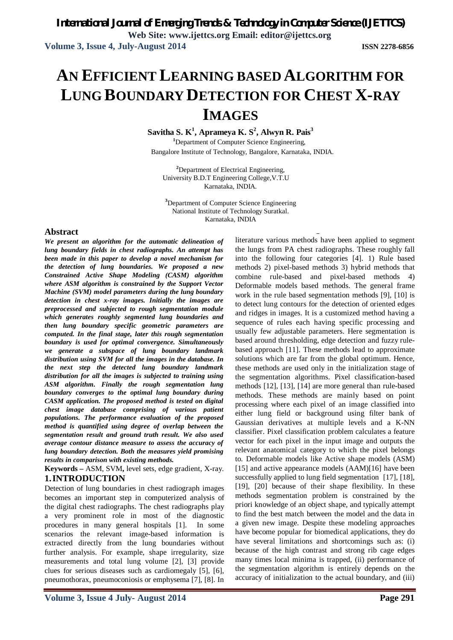# **AN EFFICIENT LEARNING BASED ALGORITHM FOR LUNG BOUNDARY DETECTION FOR CHEST X-RAY IMAGES**

**Savitha S. K<sup>1</sup> , Aprameya K. S<sup>2</sup> , Alwyn R. Pais<sup>3</sup>**

**<sup>1</sup>**Department of Computer Science Engineering, Bangalore Institute of Technology, Bangalore, Karnataka, INDIA.

**<sup>2</sup>**Department of Electrical Engineering, University B.D.T Engineering College,V.T.U Karnataka, INDIA.

**<sup>3</sup>**Department of Computer Science Engineering National Institute of Technology Suratkal. Karnataka, INDIA

#### **Abstract**

*We present an algorithm for the automatic delineation of lung boundary fields in chest radiographs. An attempt has been made in this paper to develop a novel mechanism for the detection of lung boundaries. We proposed a new Constrained Active Shape Modeling (CASM) algorithm where ASM algorithm is constrained by the Support Vector Machine (SVM) model parameters during the lung boundary detection in chest x-ray images. Initially the images are preprocessed and subjected to rough segmentation module which generates roughly segmented lung boundaries and then lung boundary specific geometric parameters are computed. In the final stage, later this rough segmentation boundary is used for optimal convergence. Simultaneously we generate a subspace of lung boundary landmark distribution using SVM for all the images in the database. In the next step the detected lung boundary landmark distribution for all the images is subjected to training using ASM algorithm. Finally the rough segmentation lung boundary converges to the optimal lung boundary during CASM application. The proposed method is tested on digital chest image database comprising of various patient populations. The performance evaluation of the proposed method is quantified using degree of overlap between the segmentation result and ground truth result. We also used average contour distance measure to assess the accuracy of lung boundary detection. Both the measures yield promising results in comparison with existing methods.*

**Keywords –** ASM, SVM**,** level sets, edge gradient, X-ray. **1.INTRODUCTION**

Detection of lung boundaries in chest radiograph images becomes an important step in computerized analysis of the digital chest radiographs. The chest radiographs play a very prominent role in most of the diagnostic procedures in many general hospitals [1]. In some scenarios the relevant image-based information is extracted directly from the lung boundaries without further analysis. For example, shape irregularity, size measurements and total lung volume [2], [3] provide clues for serious diseases such as cardiomegaly [5], [6], pneumothorax, pneumoconiosis or emphysema [7], [8]. In

literature various methods have been applied to segment the lungs from PA chest radiographs. These roughly fall into the following four categories [4]. 1) Rule based methods 2) pixel-based methods 3) hybrid methods that combine rule-based and pixel-based methods 4) Deformable models based methods. The general frame work in the rule based segmentation methods [9], [10] is to detect lung contours for the detection of oriented edges and ridges in images. It is a customized method having a sequence of rules each having specific processing and usually few adjustable parameters. Here segmentation is based around thresholding, edge detection and fuzzy rulebased approach [11]. These methods lead to approximate solutions which are far from the global optimum. Hence, these methods are used only in the initialization stage of the segmentation algorithms. Pixel classification-based methods [12], [13], [14] are more general than rule-based methods. These methods are mainly based on point processing where each pixel of an image classified into either lung field or background using filter bank of Gaussian derivatives at multiple levels and a K-NN classifier. Pixel classification problem calculates a feature vector for each pixel in the input image and outputs the relevant anatomical category to which the pixel belongs to. Deformable models like Active shape models (ASM) [15] and active appearance models (AAM)[16] have been successfully applied to lung field segmentation [17], [18], [19], [20] because of their shape flexibility. In these methods segmentation problem is constrained by the priori knowledge of an object shape, and typically attempt to find the best match between the model and the data in a given new image. Despite these modeling approaches have become popular for biomedical applications, they do have several limitations and shortcomings such as: (i) because of the high contrast and strong rib cage edges many times local minima is trapped, (ii) performance of the segmentation algorithm is entirely depends on the accuracy of initialization to the actual boundary, and (iii)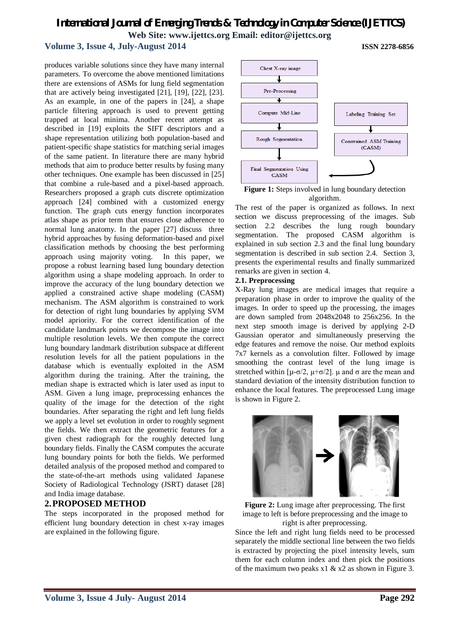# *International Journal of Emerging Trends & Technology in Computer Science (IJETTCS)*

**Web Site: www.ijettcs.org Email: editor@ijettcs.org**

#### **Volume 3, Issue 4, July-August 2014 ISSN 2278-6856**

produces variable solutions since they have many internal parameters. To overcome the above mentioned limitations there are extensions of ASMs for lung field segmentation that are actively being investigated [21], [19], [22], [23]. As an example, in one of the papers in [24], a shape particle filtering approach is used to prevent getting trapped at local minima. Another recent attempt as described in [19] exploits the SIFT descriptors and a shape representation utilizing both population-based and patient-specific shape statistics for matching serial images of the same patient. In literature there are many hybrid methods that aim to produce better results by fusing many other techniques. One example has been discussed in [25] that combine a rule-based and a pixel-based approach. Researchers proposed a graph cuts discrete optimization approach [24] combined with a customized energy function. The graph cuts energy function incorporates atlas shape as prior term that ensures close adherence to normal lung anatomy. In the paper [27] discuss three hybrid approaches by fusing deformation-based and pixel classification methods by choosing the best performing approach using majority voting. In this paper, we propose a robust learning based lung boundary detection algorithm using a shape modeling approach. In order to improve the accuracy of the lung boundary detection we applied a constrained active shape modeling (CASM) mechanism. The ASM algorithm is constrained to work for detection of right lung boundaries by applying SVM model apriority. For the correct identification of the candidate landmark points we decompose the image into multiple resolution levels. We then compute the correct lung boundary landmark distribution subspace at different resolution levels for all the patient populations in the database which is eventually exploited in the ASM algorithm during the training. After the training, the median shape is extracted which is later used as input to ASM. Given a lung image, preprocessing enhances the quality of the image for the detection of the right boundaries. After separating the right and left lung fields we apply a level set evolution in order to roughly segment the fields. We then extract the geometric features for a given chest radiograph for the roughly detected lung boundary fields. Finally the CASM computes the accurate lung boundary points for both the fields. We performed detailed analysis of the proposed method and compared to the state-of-the-art methods using validated Japanese Society of Radiological Technology (JSRT) dataset [28] and India image database.

#### **2.PROPOSED METHOD**

The steps incorporated in the proposed method for efficient lung boundary detection in chest x-ray images are explained in the following figure.



**Figure 1:** Steps involved in lung boundary detection algorithm.

The rest of the paper is organized as follows. In next section we discuss preprocessing of the images. Sub section 2.2 describes the lung rough boundary segmentation. The proposed CASM algorithm is explained in sub section 2.3 and the final lung boundary segmentation is described in sub section 2.4. Section 3, presents the experimental results and finally summarized remarks are given in section 4.

#### **2.1. Preprocessing**

X-Ray lung images are medical images that require a preparation phase in order to improve the quality of the images. In order to speed up the processing, the images are down sampled from 2048x2048 to 256x256. In the next step smooth image is derived by applying 2-D Gaussian operator and simultaneously preserving the edge features and remove the noise. Our method exploits 7x7 kernels as a convolution filter. Followed by image smoothing the contrast level of the lung image is stretched within [ $\mu$ -σ/2,  $\mu$ +σ/2].  $\mu$  and σ are the mean and standard deviation of the intensity distribution function to enhance the local features. The preprocessed Lung image is shown in Figure 2.



**Figure 2:** Lung image after preprocessing. The first image to left is before preprocessing and the image to right is after preprocessing.

Since the left and right lung fields need to be processed separately the middle sectional line between the two fields is extracted by projecting the pixel intensity levels, sum them for each column index and then pick the positions of the maximum two peaks  $x1 \& x2$  as shown in Figure 3.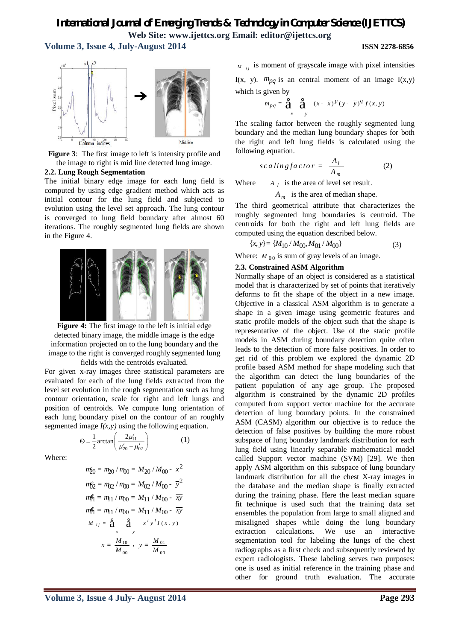**Volume 3, Issue 4, July-August 2014 ISSN 2278-6856**



**Figure 3**: The first image to left is intensity profile and the image to right is mid line detected lung image.

#### **2.2. Lung Rough Segmentation**

The initial binary edge image for each lung field is computed by using edge gradient method which acts as initial contour for the lung field and subjected to evolution using the level set approach. The lung contour is converged to lung field boundary after almost 60 iterations. The roughly segmented lung fields are shown in the Figure 4.



**Figure 4:** The first image to the left is initial edge detected binary image, the middle image is the edge information projected on to the lung boundary and the image to the right is converged roughly segmented lung fields with the centroids evaluated.

For given x-ray images three statistical parameters are evaluated for each of the lung fields extracted from the level set evolution in the rough segmentation such as lung contour orientation, scale for right and left lungs and position of centroids. We compute lung orientation of each lung boundary pixel on the contour of an roughly segmented image  $I(x, y)$  using the following equation.

11

(1)

 $_{20} - \mu_{02}$  $rac{1}{2}$ arctan $\left(\frac{2}{\mu'_{20}}\right)$  $\mu$  $\mu_{20}^\prime$  –  $\mu_0^\prime$  $\Theta = \frac{1}{2} \arctan \left( \frac{2\mu'_{11}}{\mu'_{20} - \mu'_{02}} \right)$ 

Where:

$$
m_{20}^{2} = m_{20} / m_{00} = M_{20} / M_{00} - \bar{x}^{2}
$$
  
\n
$$
m_{20}^{2} = m_{02} / m_{00} = M_{02} / M_{00} - \bar{y}^{2}
$$
  
\n
$$
m_{11}^{2} = m_{11} / m_{00} = M_{11} / M_{00} - \bar{x}^{2}
$$
  
\n
$$
m_{11}^{2} = m_{11} / m_{00} = M_{11} / M_{00} - \bar{x}^{2}
$$
  
\n
$$
M_{ij} = \frac{2}{3} \sum_{x}^{2} \sum_{y}^{2} x^{i y i} I(x, y)
$$
  
\n
$$
\bar{x} = \frac{M_{10}}{M_{00}} , \ \bar{y} = \frac{M_{01}}{M_{00}}
$$

 $M_{ij}$  is moment of grayscale image with pixel intensities

I(x, y).  $m_{pq}$  is an central moment of an image I(x,y) which is given by

$$
m_{pq} = \mathbf{a} \underset{x}{\mathbf{a}} \mathbf{a} \underset{y}{\mathbf{a}} (x - \overline{x})^p (y - \overline{y})^q f(x, y)
$$

The scaling factor between the roughly segmented lung boundary and the median lung boundary shapes for both the right and left lung fields is calculated using the following equation.

$$
scaling factor = \frac{A_l}{A_m} \tag{2}
$$

 $W$ *here*  $A_l$  is the area of level set result.

*A <sup>m</sup>* is the area of median shape.

The third geometrical attribute that characterizes the roughly segmented lung boundaries is centroid. The centroids for both the right and left lung fields are computed using the equation described below.

$$
\{x, y\} = \{M_{10} / M_{00}, M_{01} / M_{00}\}\tag{3}
$$

Where:  $M_{00}$  is sum of gray levels of an image.

#### **2.3. Constrained ASM Algorithm**

Normally shape of an object is considered as a statistical model that is characterized by set of points that iteratively deforms to fit the shape of the object in a new image. Objective in a classical ASM algorithm is to generate a shape in a given image using geometric features and static profile models of the object such that the shape is representative of the object. Use of the static profile models in ASM during boundary detection quite often leads to the detection of more false positives. In order to get rid of this problem we explored the dynamic 2D profile based ASM method for shape modeling such that the algorithm can detect the lung boundaries of the patient population of any age group. The proposed algorithm is constrained by the dynamic 2D profiles computed from support vector machine for the accurate detection of lung boundary points. In the constrained ASM (CASM) algorithm our objective is to reduce the detection of false positives by building the more robust subspace of lung boundary landmark distribution for each lung field using linearly separable mathematical model called Support vector machine (SVM) [29]. We then apply ASM algorithm on this subspace of lung boundary landmark distribution for all the chest X-ray images in the database and the median shape is finally extracted during the training phase. Here the least median square fit technique is used such that the training data set ensembles the population from large to small aligned and misaligned shapes while doing the lung boundary extraction calculations. We use an interactive segmentation tool for labeling the lungs of the chest radiographs as a first check and subsequently reviewed by expert radiologists. These labeling serves two purposes: one is used as initial reference in the training phase and other for ground truth evaluation. The accurate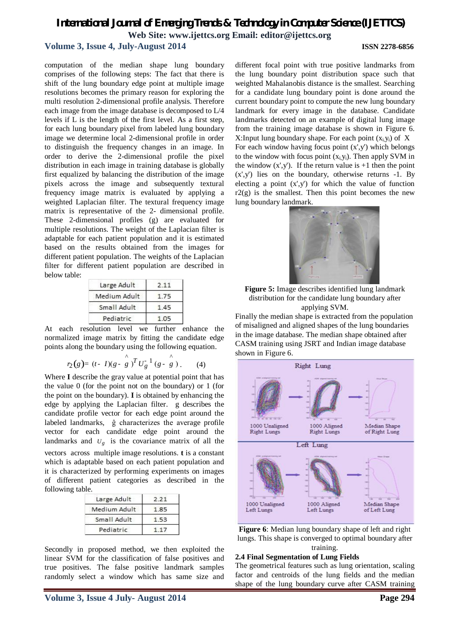#### **Volume 3, Issue 4, July-August 2014 ISSN 2278-6856**

computation of the median shape lung boundary comprises of the following steps: The fact that there is shift of the lung boundary edge point at multiple image resolutions becomes the primary reason for exploring the multi resolution 2-dimensional profile analysis. Therefore each image from the image database is decomposed to L/4 levels if L is the length of the first level. As a first step, for each lung boundary pixel from labeled lung boundary image we determine local 2-dimensional profile in order to distinguish the frequency changes in an image. In order to derive the 2-dimensional profile the pixel distribution in each image in training database is globally first equalized by balancing the distribution of the image pixels across the image and subsequently textural frequency image matrix is evaluated by applying a weighted Laplacian filter. The textural frequency image matrix is representative of the 2- dimensional profile. These 2-dimensional profiles (g) are evaluated for multiple resolutions. The weight of the Laplacian filter is adaptable for each patient population and it is estimated based on the results obtained from the images for different patient population. The weights of the Laplacian filter for different patient population are described in below table:

| Large Adult  | 2.11 |
|--------------|------|
| Medium Adult |      |
| Small Adult  | 145  |
| Pediatric    |      |

At each resolution level we further enhance the normalized image matrix by fitting the candidate edge points along the boundary using the following equation.

$$
r_2(g) = (t - I)(g - \overset{\wedge}{g})^T U_g^{-1} (g - \overset{\wedge}{g}) \tag{4}
$$

Where **I** describe the gray value at potential point that has the value 0 (for the point not on the boundary) or 1 (for the point on the boundary). **I** is obtained by enhancing the edge by applying the Laplacian filter. g describes the candidate profile vector for each edge point around the labeled landmarks, ĝ characterizes the average profile vector for each candidate edge point around the landmarks and  $U_g$  is the covariance matrix of all the vectors across multiple image resolutions. **t** is a constant which is adaptable based on each patient population and it is characterized by performing experiments on images of different patient categories as described in the following table.

| Large Adult  | 2.21 |
|--------------|------|
| Medium Adult | 1.85 |
| Small Adult  | 53   |
| Pediatric    |      |

Secondly in proposed method, we then exploited the linear SVM for the classification of false positives and true positives. The false positive landmark samples randomly select a window which has same size and different focal point with true positive landmarks from the lung boundary point distribution space such that weighted Mahalanobis distance is the smallest. Searching for a candidate lung boundary point is done around the current boundary point to compute the new lung boundary landmark for every image in the database. Candidate landmarks detected on an example of digital lung image from the training image database is shown in Figure 6. X: Input lung boundary shape. For each point  $(x_i, y_i)$  of X For each window having focus point  $(x',y')$  which belongs to the window with focus point  $(x_i, y_i)$ . Then apply SVM in the window  $(x',y')$ . If the return value is  $+1$  then the point  $(x',y')$  lies on the boundary, otherwise returns -1. By electing a point  $(x',y')$  for which the value of function  $r2(g)$  is the smallest. Then this point becomes the new lung boundary landmark.



**Figure 5:** Image describes identified lung landmark distribution for the candidate lung boundary after applying SVM.

Finally the median shape is extracted from the population of misaligned and aligned shapes of the lung boundaries in the image database. The median shape obtained after CASM training using JSRT and Indian image database shown in Figure 6.



**Figure 6**: Median lung boundary shape of left and right lungs. This shape is converged to optimal boundary after training.

#### **2.4 Final Segmentation of Lung Fields**

The geometrical features such as lung orientation, scaling factor and centroids of the lung fields and the median shape of the lung boundary curve after CASM training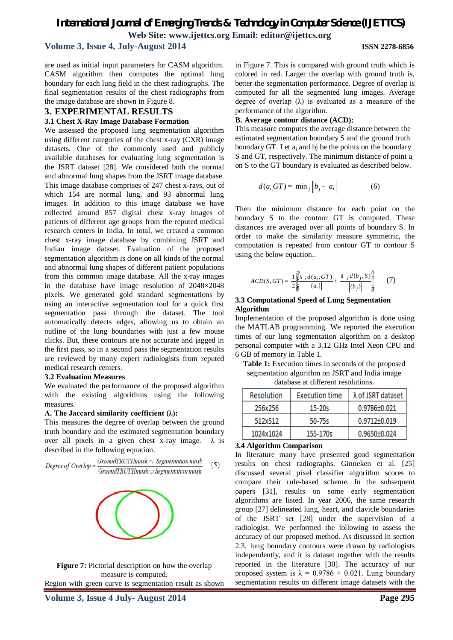**Volume 3, Issue 4, July-August 2014 ISSN 2278-6856**

are used as initial input parameters for CASM algorithm. CASM algorithm then computes the optimal lung boundary for each lung field in the chest radiographs. The final segmentation results of the chest radiographs from the image database are shown in Figure 8.

#### **3. EXPERIMENTAL RESULTS**

#### **3.1 Chest X-Ray Image Database Formation**

We assessed the proposed lung segmentation algorithm using different categories of the chest x-ray (CXR) image datasets. One of the commonly used and publicly available databases for evaluating lung segmentation is the JSRT dataset [28]. We considered both the normal and abnormal lung shapes from the JSRT image database. This image database comprises of 247 chest x-rays, out of which 154 are normal lung, and 93 abnormal lung images. In addition to this image database we have collected around 857 digital chest x-ray images of patients of different age groups from the reputed medical research centers in India. In total, we created a common chest x-ray image database by combining JSRT and Indian image dataset. Evaluation of the proposed segmentation algorithm is done on all kinds of the normal and abnormal lung shapes of different patient populations from this common image database. All the x-ray images in the database have image resolution of 2048×2048 pixels. We generated gold standard segmentations by using an interactive segmentation tool for a quick first segmentation pass through the dataset. The tool automatically detects edges, allowing us to obtain an outline of the lung boundaries with just a few mouse clicks. But, these contours are not accurate and jagged in the first pass, so in a second pass the segmentation results are reviewed by many expert radiologists from reputed medical research centers.

#### **3.2 Evaluation Measures**

We evaluated the performance of the proposed algorithm with the existing algorithms using the following measures.

#### **A. The Jaccard similarity coefficient (λ):**

This measures the degree of overlap between the ground truth boundary and the estimated segmentation boundary over all pixels in a given chest x-ray image.  $\lambda$  is described in the following equation.

$$
Degree of Overlap = \frac{Ground TRUTHmask \cap Segmentation mask}{Ground TRUTHmask \cup Segmentation mask}
$$
 (5)



**Figure 7:** Pictorial description on how the overlap measure is computed.

Region with green curve is segmentation result as shown

in Figure 7. This is compared with ground truth which is colored in red. Larger the overlap with ground truth is, better the segmentation performance. Degree of overlap is computed for all the segmented lung images. Average degree of overlap  $(\lambda)$  is evaluated as a measure of the performance of the algorithm.

#### **B. Average contour distance (ACD):**

This measure computes the average distance between the estimated segmentation boundary S and the ground truth boundary GT. Let  $a_i$  and bj be the points on the boundary S and GT, respectively. The minimum distance of point a<sup>i</sup> on S to the GT boundary is evaluated as described below.

$$
d(a_i, GT) = \min_j \|b_j - a_i\| \tag{6}
$$

Then the minimum distance for each point on the boundary S to the contour GT is computed. These distances are averaged over all points of boundary S. In order to make the similarity measure symmetric, the computation is repeated from contour GT to contour S using the below equation..

$$
ACD(S, GT) = \frac{1}{2} \sum_{\xi=1}^{38} \frac{i d(a_i, GT)}{|a_i|} + \frac{\hat{a} j d(b_j, S) \frac{\hat{a}}{2}}{|b_j|} \frac{1}{\frac{1}{5}} \tag{7}
$$

#### **3.3 Computational Speed of Lung Segmentation Algorithm**

Implementation of the proposed algorithm is done using the MATLAB programming. We reported the execution times of our lung segmentation algorithm on a desktop personal computer with a 3.12 GHz Intel Xeon CPU and 6 GB of memory in Table 1.

**Table 1:** Execution times in seconds of the proposed segmentation algorithm on JSRT and India image database at different resolutions.

| <b>Resolution</b> | <b>Execution time</b> | λ of JSRT dataset |
|-------------------|-----------------------|-------------------|
| 256x256           | $15 - 20s$            | 0.9786±0.021      |
| 512x512           | 50-75s                | 0.9712±0.019      |
| 1024x1024         | 155-170s              | 0.9650+0.024      |

#### **3.4 Algorithm Comparison**

In literature many have presented good segmentation results on chest radiographs. Ginneken et al. [25] discussed several pixel classifier algorithm scores to compare their rule-based scheme. In the subsequent papers [31], results on some early segmentation algorithms are listed. In year 2006, the same research group [27] delineated lung, heart, and clavicle boundaries of the JSRT set [28] under the supervision of a radiologist. We performed the following to assess the accuracy of our proposed method. As discussed in section 2.3, lung boundary contours were drawn by radiologists independently, and it is dataset together with the results reported in the literature [30]. The accuracy of our proposed system is  $\lambda = 0.9786 \pm 0.021$ . Lung boundary segmentation results on different image datasets with the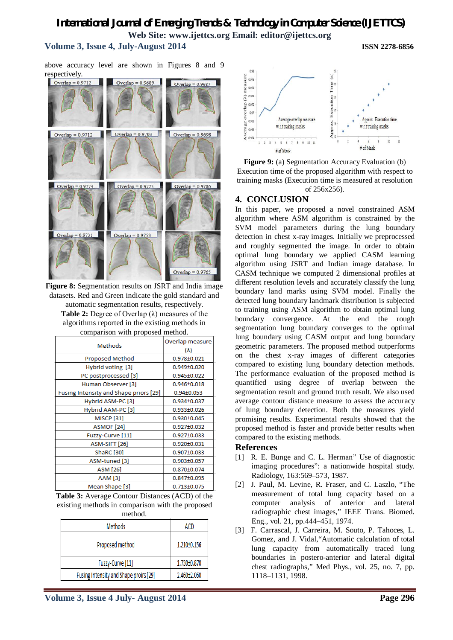# **Volume 3, Issue 4, July-August 2014 ISSN 2278-6856**

above accuracy level are shown in Figures 8 and 9 respectively.



**Figure 8:** Segmentation results on JSRT and India image datasets. Red and Green indicate the gold standard and automatic segmentation results, respectively. **Table 2:** Degree of Overlap (λ) measures of the algorithms reported in the existing methods in comparison with proposed method.

| <b>Methods</b>                         | Overlap measure   |
|----------------------------------------|-------------------|
|                                        | $(\lambda)$       |
| Proposed Method                        | 0.978±0.021       |
| Hybrid voting [3]                      | 0.949±0.020       |
| PC postprocessed [3]                   | 0.945±0.022       |
| Human Observer [3]                     | $0.946 \pm 0.018$ |
| Fusing Intensity and Shape priors [29] | $0.94 \pm 0.053$  |
| Hybrid ASM-PC [3]                      | 0.934±0.037       |
| Hybrid AAM-PC [3]                      | $0.933 \pm 0.026$ |
| <b>MISCP</b> [31]                      | $0.930 \pm 0.045$ |
| ASMOF [24]                             | $0.927 \pm 0.032$ |
| Fuzzy-Curve [11]                       | $0.927 \pm 0.033$ |
| ASM-SIFT [26]                          | 0.920±0.031       |
| ShaRC [30]                             | 0.907±0.033       |
| ASM-tuned [3]                          | $0.903 \pm 0.057$ |
| <b>ASM [26]</b>                        | 0.870±0.074       |
| AAM [3]                                | $0.847 \pm 0.095$ |
| Mean Shape [3]                         | 0.713±0.075       |

**Table 3:** Average Contour Distances (ACD) of the existing methods in comparison with the proposed method.

| ,,,,,,,,,,,                            |             |  |  |
|----------------------------------------|-------------|--|--|
| <b>Methods</b>                         | ACD         |  |  |
| Proposed method                        | 1.210±0.156 |  |  |
| Fuzzy-Curve [11]                       | 1.730±0.870 |  |  |
| Fusing Intensity and Shape proirs [29] | 2.460±2.060 |  |  |



**Figure 9:** (a) Segmentation Accuracy Evaluation (b) Execution time of the proposed algorithm with respect to training masks (Execution time is measured at resolution of 256x256).

### **4. CONCLUSION**

In this paper, we proposed a novel constrained ASM algorithm where ASM algorithm is constrained by the SVM model parameters during the lung boundary detection in chest x-ray images. Initially we preprocessed and roughly segmented the image. In order to obtain optimal lung boundary we applied CASM learning algorithm using JSRT and Indian image database. In CASM technique we computed 2 dimensional profiles at different resolution levels and accurately classify the lung boundary land marks using SVM model. Finally the detected lung boundary landmark distribution is subjected to training using ASM algorithm to obtain optimal lung boundary convergence. At the end the rough segmentation lung boundary converges to the optimal lung boundary using CASM output and lung boundary geometric parameters. The proposed method outperforms on the chest x-ray images of different categories compared to existing lung boundary detection methods. The performance evaluation of the proposed method is quantified using degree of overlap between the segmentation result and ground truth result. We also used average contour distance measure to assess the accuracy of lung boundary detection. Both the measures yield promising results. Experimental results showed that the proposed method is faster and provide better results when compared to the existing methods.

#### **References**

- [1] R. E. Bunge and C. L. Herman" Use of diagnostic imaging procedures": a nationwide hospital study. Radiology, 163:569–573, 1987.
- [2] J. Paul, M. Levine, R. Fraser, and C. Laszlo, "The measurement of total lung capacity based on a computer analysis of anterior and lateral radiographic chest images," IEEE Trans. Biomed. Eng., vol. 21, pp.444–451, 1974.
- [3] F. Carrascal, J. Carreira, M. Souto, P. Tahoces, L. Gomez, and J. Vidal,"Automatic calculation of total lung capacity from automatically traced lung boundaries in postero-anterior and lateral digital chest radiographs," Med Phys., vol. 25, no. 7, pp. 1118–1131, 1998.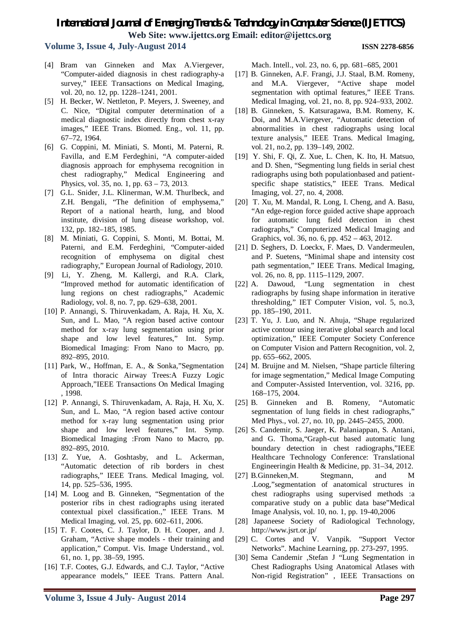# **Volume 3, Issue 4, July-August 2014 ISSN 2278-6856**

- [4] Bram van Ginneken and Max A.Viergever, "Computer-aided diagnosis in chest radiography-a survey," IEEE Transactions on Medical Imaging, vol. 20, no. 12, pp. 1228–1241, 2001.
- [5] H. Becker, W. Nettleton, P. Meyers, J. Sweeney, and C. Nice, "Digital computer determination of a medical diagnostic index directly from chest x-ray images," IEEE Trans. Biomed. Eng., vol. 11, pp. 67–72, 1964.
- [6] G. Coppini, M. Miniati, S. Monti, M. Paterni, R. Favilla, and E.M Ferdeghini, "A computer-aided diagnosis approach for emphysema recognition in chest radiography," Medical Engineering and Physics, vol. 35, no. 1, pp. 63 – 73, 2013.
- [7] G.L. Snider, J.L. Klinerman, W.M. Thurlbeck, and Z.H. Bengali, "The definition of emphysema," Report of a national hearth, lung, and blood institute, division of lung disease workshop, vol. 132, pp. 182–185, 1985.
- [8] M. Miniati, G. Coppini, S. Monti, M. Bottai, M. Paterni, and E.M. Ferdeghini, "Computer-aided recognition of emphysema on digital chest radiography," European Journal of Radiology, 2010.
- [9] Li, Y. Zheng, M. Kallergi, and R.A. Clark, "Improved method for automatic identification of lung regions on chest radiographs," Academic Radiology, vol. 8, no. 7, pp. 629–638, 2001.
- [10] P. Annangi, S. Thiruvenkadam, A. Raja, H. Xu, X. Sun, and L. Mao, "A region based active contour method for x-ray lung segmentation using prior shape and low level features," Int. Symp. Biomedical Imaging: From Nano to Macro, pp. 892–895, 2010.
- [11] Park, W., Hoffman, E. A., & Sonka,"Segmentation of Intra thoracic Airway Trees:A Fuzzy Logic Approach,"IEEE Transactions On Medical Imaging , 1998.
- [12] P. Annangi, S. Thiruvenkadam, A. Raja, H. Xu, X. Sun, and L. Mao, "A region based active contour method for x-ray lung segmentation using prior shape and low level features," Int. Symp. Biomedical Imaging :From Nano to Macro, pp. 892–895, 2010.
- [13] Z. Yue, A. Goshtasby, and L. Ackerman, "Automatic detection of rib borders in chest radiographs," IEEE Trans. Medical Imaging, vol. 14, pp. 525–536, 1995.
- [14] M. Loog and B. Ginneken, "Segmentation of the posterior ribs in chest radiographs using iterated contextual pixel classification.," IEEE Trans. M Medical Imaging, vol. 25, pp. 602–611, 2006.
- [15] T. F. Cootes, C. J. Taylor, D. H. Cooper, and J. Graham, "Active shape models - their training and application," Comput. Vis. Image Understand., vol. 61, no. 1, pp. 38–59, 1995.
- [16] T.F. Cootes, G.J. Edwards, and C.J. Taylor, "Active appearance models," IEEE Trans. Pattern Anal.

Mach. Intell., vol. 23, no. 6, pp. 681–685, 2001

- [17] B. Ginneken, A.F. Frangi, J.J. Staal, B.M. Romeny, and M.A. Viergever, "Active shape model segmentation with optimal features," IEEE Trans. Medical Imaging, vol. 21, no. 8, pp. 924–933, 2002.
- [18] B. Ginneken, S. Katsuragawa, B.M. Romeny, K. Doi, and M.A.Viergever, "Automatic detection of abnormalities in chest radiographs using local texture analysis," IEEE Trans. Medical Imaging, vol. 21, no.2, pp. 139–149, 2002.
- [19] Y. Shi, F. Qi, Z. Xue, L. Chen, K. Ito, H. Matsuo, and D. Shen, "Segmenting lung fields in serial chest radiographs using both populationbased and patientspecific shape statistics," IEEE Trans. Medical Imaging, vol. 27, no. 4, 2008.
- [20] T. Xu, M. Mandal, R. Long, I. Cheng, and A. Basu, "An edge-region force guided active shape approach for automatic lung field detection in chest radiographs," Computerized Medical Imaging and Graphics, vol. 36, no. 6, pp. 452 – 463, 2012.
- [21] D. Seghers, D. Loeckx, F. Maes, D. Vandermeulen, and P. Suetens, "Minimal shape and intensity cost path segmentation," IEEE Trans. Medical Imaging, vol. 26, no. 8, pp. 1115–1129, 2007.
- [22] A. Dawoud, "Lung segmentation in chest radiographs by fusing shape information in iterative thresholding," IET Computer Vision, vol. 5, no.3, pp. 185–190, 2011.
- [23] T. Yu, J. Luo, and N. Ahuja, "Shape regularized active contour using iterative global search and local optimization," IEEE Computer Society Conference on Computer Vision and Pattern Recognition, vol. 2, pp. 655–662, 2005.
- [24] M. Bruijne and M. Nielsen, "Shape particle filtering for image segmentation," Medical Image Computing and Computer-Assisted Intervention, vol. 3216, pp. 168–175, 2004.
- [25] B. Ginneken and B. Romeny, "Automatic segmentation of lung fields in chest radiographs," Med Phys., vol. 27, no. 10, pp. 2445–2455, 2000.
- [26] S. Candemir, S. Jaeger, K. Palaniappan, S. Antani, and G. Thoma,"Graph-cut based automatic lung boundary detection in chest radiographs,"IEEE Healthcare Technology Conference: Translational Engineeringin Health & Medicine, pp. 31–34, 2012.
- [27] B.Ginneken, M. Stegmann, and M. .Loog,"segmentation of anatomical structures in chest radiographs using supervised methods :a comparative study on a public data base"Medical Image Analysis, vol. 10, no. 1, pp. 19-40,2006
- [28] Japaneese Society of Radiological Technology, http://www.jsrt.or.jp/
- [29] C. Cortes and V. Vanpik. "Support Vector Networks". Machine Learning, pp. 273-297, 1995.
- [30] Sema Candemir ,Stefan J "Lung Segmentation in Chest Radiographs Using Anatomical Atlases with Non-rigid Registration" , IEEE Transactions on